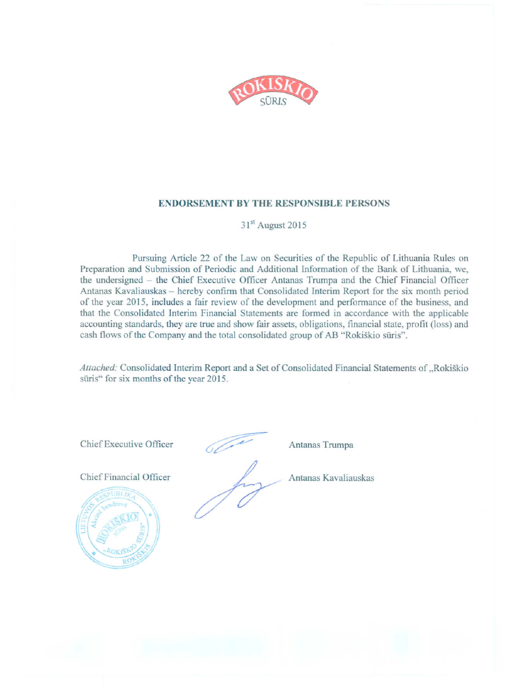

#### **ENDORSEMENT BY THE RESPONSIBLE PERSONS**

## 31<sup>st</sup> August 2015

Pursuing Article 22 of the Law on Securities of the Republic of Lithuania Rules on Preparation and Submission of Periodic and Additional Information of the Bank of Lithuania, we, the undersigned - the Chief Executive Officer Antanas Trumpa and the Chief Financial Officer Antanas Kavaliauskas - hereby confirm that Consolidated Interim Report for the six month period of the year 2015, includes a fair review of the development and performance of the business, and that the Consolidated Interim Financial Statements are formed in accordance with the applicable accounting standards, they are true and show fair assets, obligations, financial state, profit (loss) and cash flows of the Company and the total consolidated group of AB "Rokiškio sūris".

Attached: Consolidated Interim Report and a Set of Consolidated Financial Statements of "Rokiškio sūris" for six months of the year 2015.

Chief Executive Officer

Chief Financial Officer



Antanas Trumpa

Antanas Kavaliauskas

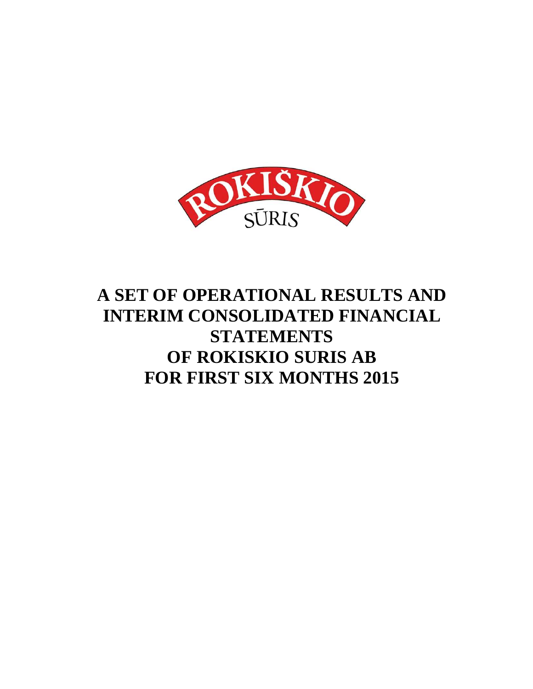

# **A SET OF OPERATIONAL RESULTS AND INTERIM CONSOLIDATED FINANCIAL STATEMENTS OF ROKISKIO SURIS AB FOR FIRST SIX MONTHS 2015**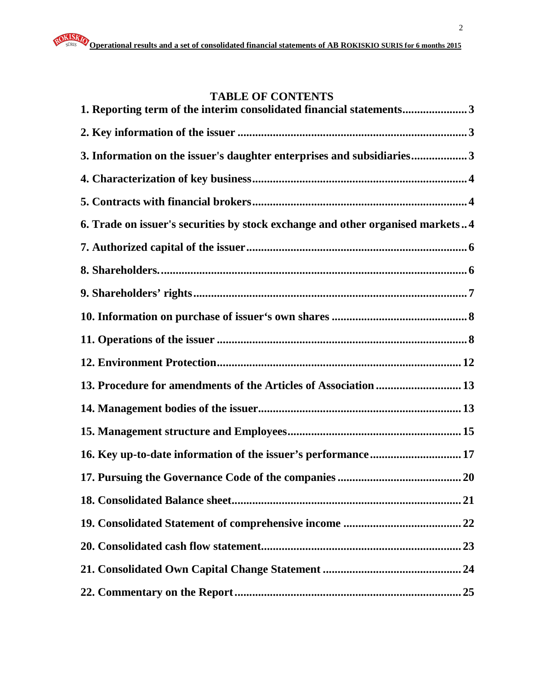## **TABLE OF CONTENTS**

| 1. Reporting term of the interim consolidated financial statements3            |
|--------------------------------------------------------------------------------|
|                                                                                |
| 3. Information on the issuer's daughter enterprises and subsidiaries3          |
|                                                                                |
|                                                                                |
| 6. Trade on issuer's securities by stock exchange and other organised markets4 |
|                                                                                |
|                                                                                |
|                                                                                |
|                                                                                |
|                                                                                |
|                                                                                |
| 13. Procedure for amendments of the Articles of Association  13                |
|                                                                                |
|                                                                                |
| 16. Key up-to-date information of the issuer's performance 17                  |
|                                                                                |
|                                                                                |
|                                                                                |
|                                                                                |
|                                                                                |
|                                                                                |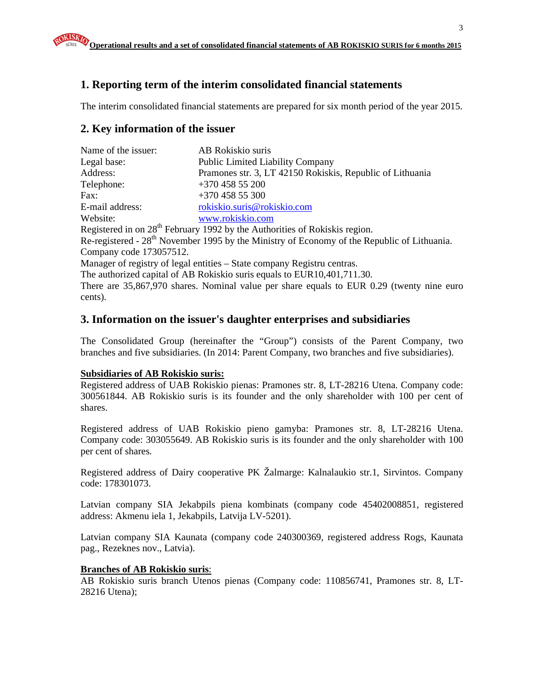## **1. Reporting term of the interim consolidated financial statements**

The interim consolidated financial statements are prepared for six month period of the year 2015.

## **2. Key information of the issuer**

| Name of the issuer:     | AB Rokiskio suris                                                                                       |
|-------------------------|---------------------------------------------------------------------------------------------------------|
| Legal base:             | <b>Public Limited Liability Company</b>                                                                 |
| Address:                | Pramones str. 3, LT 42150 Rokiskis, Republic of Lithuania                                               |
| Telephone:              | $+37045855200$                                                                                          |
| Fax:                    | $+37045855300$                                                                                          |
| E-mail address:         | rokiskio.suris@rokiskio.com                                                                             |
| Website:                | www.rokiskio.com                                                                                        |
|                         | Registered in on 28 <sup>th</sup> February 1992 by the Authorities of Rokiskis region.                  |
|                         | Re-registered - 28 <sup>th</sup> November 1995 by the Ministry of Economy of the Republic of Lithuania. |
| Company code 173057512. |                                                                                                         |
|                         | Manager of registry of legal entities – State company Registru centras.                                 |
|                         | The authorized capital of AB Rokiskio suris equals to EUR10,401,711.30.                                 |
|                         | There are 35,867,970 shares. Nominal value per share equals to EUR 0.29 (twenty nine euro               |

cents).

#### **3. Information on the issuer's daughter enterprises and subsidiaries**

The Consolidated Group (hereinafter the "Group") consists of the Parent Company, two branches and five subsidiaries. (In 2014: Parent Company, two branches and five subsidiaries).

#### **Subsidiaries of AB Rokiskio suris:**

Registered address of UAB Rokiskio pienas: Pramones str. 8, LT-28216 Utena. Company code: 300561844. AB Rokiskio suris is its founder and the only shareholder with 100 per cent of shares.

Registered address of UAB Rokiskio pieno gamyba: Pramones str. 8, LT-28216 Utena. Company code: 303055649. AB Rokiskio suris is its founder and the only shareholder with 100 per cent of shares.

Registered address of Dairy cooperative PK Žalmarge: Kalnalaukio str.1, Sirvintos. Company code: 178301073.

Latvian company SIA Jekabpils piena kombinats (company code 45402008851, registered address: Akmenu iela 1, Jekabpils, Latvija LV-5201).

Latvian company SIA Kaunata (company code 240300369, registered address Rogs, Kaunata pag., Rezeknes nov., Latvia).

#### **Branches of AB Rokiskio suris**:

AB Rokiskio suris branch Utenos pienas (Company code: 110856741, Pramones str. 8, LT-28216 Utena);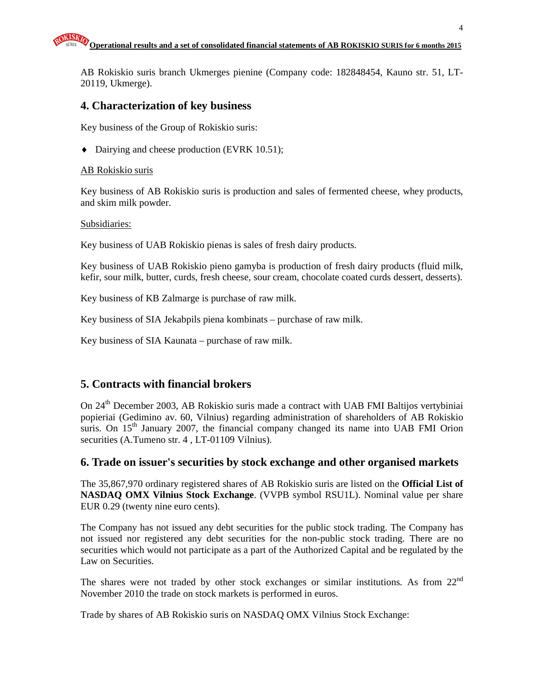AB Rokiskio suris branch Ukmerges pienine (Company code: 182848454, Kauno str. 51, LT-20119, Ukmerge).

#### **4. Characterization of key business**

Key business of the Group of Rokiskio suris:

♦ Dairying and cheese production (EVRK 10.51);

#### AB Rokiskio suris

Key business of AB Rokiskio suris is production and sales of fermented cheese, whey products, and skim milk powder.

#### Subsidiaries:

Key business of UAB Rokiskio pienas is sales of fresh dairy products.

Key business of UAB Rokiskio pieno gamyba is production of fresh dairy products (fluid milk, kefir, sour milk, butter, curds, fresh cheese, sour cream, chocolate coated curds dessert, desserts).

Key business of KB Zalmarge is purchase of raw milk.

Key business of SIA Jekabpils piena kombinats – purchase of raw milk.

Key business of SIA Kaunata – purchase of raw milk.

## **5. Contracts with financial brokers**

On 24<sup>th</sup> December 2003, AB Rokiskio suris made a contract with UAB FMI Baltijos vertybiniai popieriai (Gedimino av. 60, Vilnius) regarding administration of shareholders of AB Rokiskio suris. On  $15<sup>th</sup>$  January 2007, the financial company changed its name into UAB FMI Orion securities (A.Tumeno str. 4 , LT-01109 Vilnius).

#### **6. Trade on issuer's securities by stock exchange and other organised markets**

The 35,867,970 ordinary registered shares of AB Rokiskio suris are listed on the **Official List of NASDAQ OMX Vilnius Stock Exchange**. (VVPB symbol RSU1L). Nominal value per share EUR 0.29 (twenty nine euro cents).

The Company has not issued any debt securities for the public stock trading. The Company has not issued nor registered any debt securities for the non-public stock trading. There are no securities which would not participate as a part of the Authorized Capital and be regulated by the Law on Securities.

The shares were not traded by other stock exchanges or similar institutions. As from 22<sup>nd</sup> November 2010 the trade on stock markets is performed in euros.

Trade by shares of AB Rokiskio suris on NASDAQ OMX Vilnius Stock Exchange: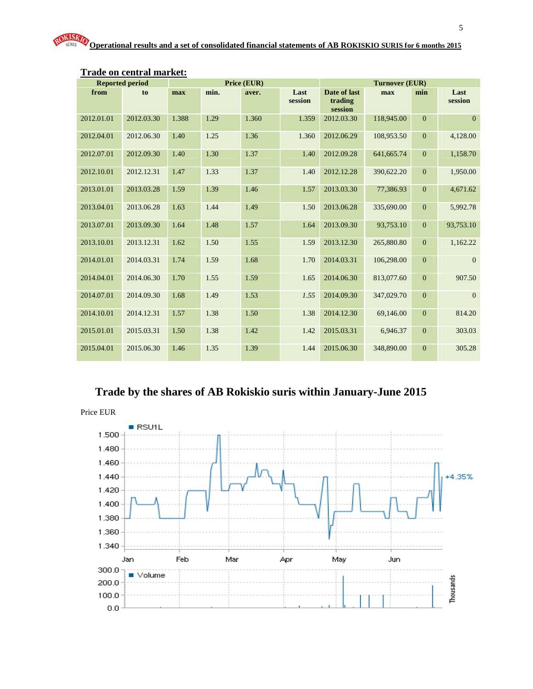|            | <b>Reported period</b> |       |      | Price (EUR) |                 |                                    | <b>Turnover (EUR)</b> |                |                 |
|------------|------------------------|-------|------|-------------|-----------------|------------------------------------|-----------------------|----------------|-----------------|
| from       | to                     | max   | min. | aver.       | Last<br>session | Date of last<br>trading<br>session | max                   | min            | Last<br>session |
| 2012.01.01 | 2012.03.30             | 1.388 | 1.29 | 1.360       | 1.359           | 2012.03.30                         | 118,945.00            | $\overline{0}$ | $\overline{0}$  |
| 2012.04.01 | 2012.06.30             | 1.40  | 1.25 | 1.36        | 1.360           | 2012.06.29                         | 108,953.50            | $\mathbf{0}$   | 4,128.00        |
| 2012.07.01 | 2012.09.30             | 1.40  | 1.30 | 1.37        | 1.40            | 2012.09.28                         | 641,665.74            | $\overline{0}$ | 1,158.70        |
| 2012.10.01 | 2012.12.31             | 1.47  | 1.33 | 1.37        | 1.40            | 2012.12.28                         | 390,622.20            | $\mathbf{0}$   | 1,950.00        |
| 2013.01.01 | 2013.03.28             | 1.59  | 1.39 | 1.46        | 1.57            | 2013.03.30                         | 77,386.93             | $\mathbf{0}$   | 4,671.62        |
| 2013.04.01 | 2013.06.28             | 1.63  | 1.44 | 1.49        | 1.50            | 2013.06.28                         | 335,690.00            | $\overline{0}$ | 5,992.78        |
| 2013.07.01 | 2013.09.30             | 1.64  | 1.48 | 1.57        | 1.64            | 2013.09.30                         | 93,753.10             | $\mathbf{0}$   | 93,753.10       |
| 2013.10.01 | 2013.12.31             | 1.62  | 1.50 | 1.55        | 1.59            | 2013.12.30                         | 265,880.80            | $\mathbf{0}$   | 1,162.22        |
| 2014.01.01 | 2014.03.31             | 1.74  | 1.59 | 1.68        | 1.70            | 2014.03.31                         | 106,298.00            | $\mathbf{0}$   | $\mathbf{0}$    |
| 2014.04.01 | 2014.06.30             | 1.70  | 1.55 | 1.59        | 1.65            | 2014.06.30                         | 813,077.60            | $\mathbf{0}$   | 907.50          |
| 2014.07.01 | 2014.09.30             | 1.68  | 1.49 | 1.53        | 1.55            | 2014.09.30                         | 347,029.70            | $\mathbf{0}$   | $\overline{0}$  |
| 2014.10.01 | 2014.12.31             | 1.57  | 1.38 | 1.50        | 1.38            | 2014.12.30                         | 69,146.00             | $\mathbf{0}$   | 814.20          |
| 2015.01.01 | 2015.03.31             | 1.50  | 1.38 | 1.42        | 1.42            | 2015.03.31                         | 6,946.37              | $\overline{0}$ | 303.03          |
| 2015.04.01 | 2015.06.30             | 1.46  | 1.35 | 1.39        | 1.44            | 2015.06.30                         | 348,890.00            | $\mathbf{0}$   | 305.28          |

#### **Trade on central market:**

## **Trade by the shares of AB Rokiskio suris within January-June 2015**

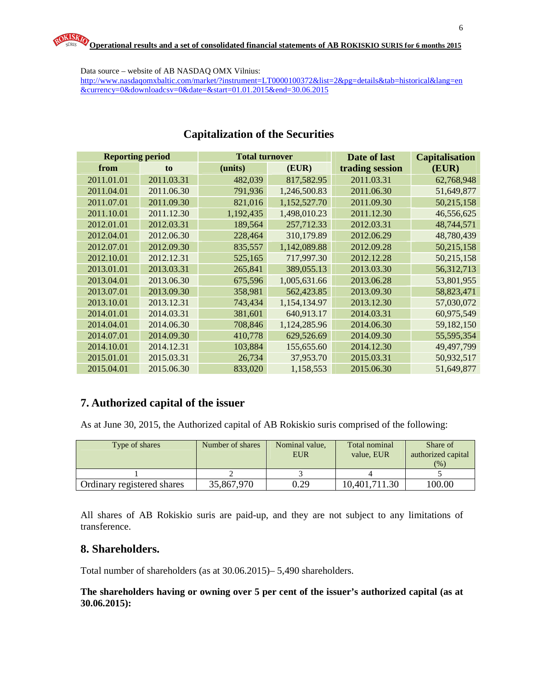Data source – website of AB NASDAQ OMX Vilnius:

http://www.nasdaqomxbaltic.com/market/?instrument=LT0000100372&list=2&pg=details&tab=historical&lang=en &currency=0&downloadcsv=0&date=&start=01.01.2015&end=30.06.2015

| <b>Reporting period</b> |            | <b>Total turnover</b> |              | Date of last    | <b>Capitalisation</b> |
|-------------------------|------------|-----------------------|--------------|-----------------|-----------------------|
| from                    | to         | (units)               | (EUR)        | trading session | (EUR)                 |
| 2011.01.01              | 2011.03.31 | 482,039               | 817,582.95   | 2011.03.31      | 62,768,948            |
| 2011.04.01              | 2011.06.30 | 791,936               | 1,246,500.83 | 2011.06.30      | 51,649,877            |
| 2011.07.01              | 2011.09.30 | 821,016               | 1,152,527.70 | 2011.09.30      | 50,215,158            |
| 2011.10.01              | 2011.12.30 | 1,192,435             | 1,498,010.23 | 2011.12.30      | 46,556,625            |
| 2012.01.01              | 2012.03.31 | 189,564               | 257,712.33   | 2012.03.31      | 48,744,571            |
| 2012.04.01              | 2012.06.30 | 228,464               | 310,179.89   | 2012.06.29      | 48,780,439            |
| 2012.07.01              | 2012.09.30 | 835,557               | 1,142,089.88 | 2012.09.28      | 50,215,158            |
| 2012.10.01              | 2012.12.31 | 525,165               | 717,997.30   | 2012.12.28      | 50,215,158            |
| 2013.01.01              | 2013.03.31 | 265,841               | 389,055.13   | 2013.03.30      | 56,312,713            |
| 2013.04.01              | 2013.06.30 | 675,596               | 1,005,631.66 | 2013.06.28      | 53,801,955            |
| 2013.07.01              | 2013.09.30 | 358,981               | 562,423.85   | 2013.09.30      | 58,823,471            |
| 2013.10.01              | 2013.12.31 | 743,434               | 1,154,134.97 | 2013.12.30      | 57,030,072            |
| 2014.01.01              | 2014.03.31 | 381,601               | 640,913.17   | 2014.03.31      | 60,975,549            |
| 2014.04.01              | 2014.06.30 | 708,846               | 1,124,285.96 | 2014.06.30      | 59,182,150            |
| 2014.07.01              | 2014.09.30 | 410,778               | 629,526.69   | 2014.09.30      | 55,595,354            |
| 2014.10.01              | 2014.12.31 | 103,884               | 155,655.60   | 2014.12.30      | 49,497,799            |
| 2015.01.01              | 2015.03.31 | 26,734                | 37,953.70    | 2015.03.31      | 50,932,517            |
| 2015.04.01              | 2015.06.30 | 833,020               | 1,158,553    | 2015.06.30      | 51,649,877            |

## **Capitalization of the Securities**

## **7. Authorized capital of the issuer**

As at June 30, 2015, the Authorized capital of AB Rokiskio suris comprised of the following:

| Type of shares             | Number of shares | Nominal value,<br><b>EUR</b> | Total nominal<br>value. EUR | Share of<br>authorized capital<br>(% ) |
|----------------------------|------------------|------------------------------|-----------------------------|----------------------------------------|
|                            |                  |                              |                             |                                        |
| Ordinary registered shares | 35,867,970       | 0.29                         | 10,401,711.30               | 100.00                                 |

All shares of AB Rokiskio suris are paid-up, and they are not subject to any limitations of transference.

## **8. Shareholders.**

Total number of shareholders (as at 30.06.2015)– 5,490 shareholders.

#### **The shareholders having or owning over 5 per cent of the issuer's authorized capital (as at 30.06.2015):**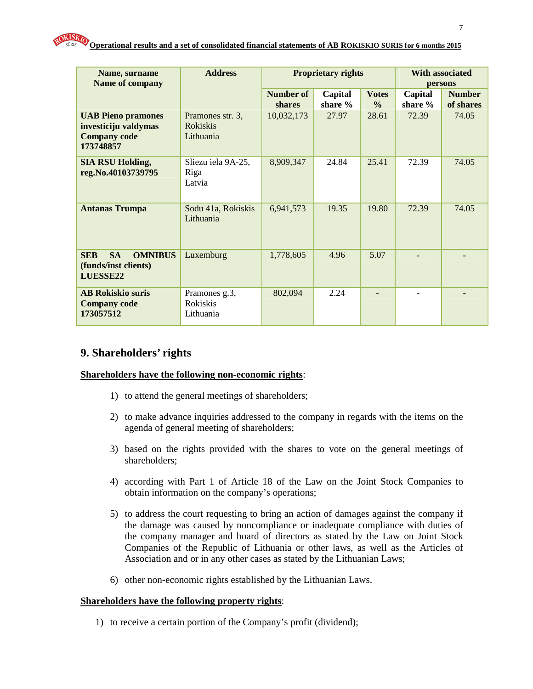| Name, surname<br>Name of company                                                      | <b>Address</b>                                   | <b>Proprietary rights</b><br><b>With associated</b><br>persons |                    |                               |                    |                            |
|---------------------------------------------------------------------------------------|--------------------------------------------------|----------------------------------------------------------------|--------------------|-------------------------------|--------------------|----------------------------|
|                                                                                       |                                                  | Number of<br>shares                                            | Capital<br>share % | <b>Votes</b><br>$\frac{0}{0}$ | Capital<br>share % | <b>Number</b><br>of shares |
| <b>UAB Pieno pramones</b><br>investiciju valdymas<br><b>Company code</b><br>173748857 | Pramones str. 3,<br><b>Rokiskis</b><br>Lithuania | 10,032,173                                                     | 27.97              | 28.61                         | 72.39              | 74.05                      |
| <b>SIA RSU Holding,</b><br>reg.No.40103739795                                         | Sliezu iela 9A-25,<br>Riga<br>Latvia             | 8,909,347                                                      | 24.84              | 25.41                         | 72.39              | 74.05                      |
| <b>Antanas Trumpa</b>                                                                 | Sodu 41a, Rokiskis<br>Lithuania                  | 6,941,573                                                      | 19.35              | 19.80                         | 72.39              | 74.05                      |
| <b>SEB</b><br><b>SA</b><br><b>OMNIBUS</b><br>(funds/inst clients)<br>LUESSE22         | Luxemburg                                        | 1,778,605                                                      | 4.96               | 5.07                          |                    |                            |
| <b>AB Rokiskio suris</b><br><b>Company code</b><br>173057512                          | Pramones g.3,<br><b>Rokiskis</b><br>Lithuania    | 802,094                                                        | 2.24               |                               |                    |                            |

## **9. Shareholders' rights**

#### **Shareholders have the following non-economic rights**:

- 1) to attend the general meetings of shareholders;
- 2) to make advance inquiries addressed to the company in regards with the items on the agenda of general meeting of shareholders;
- 3) based on the rights provided with the shares to vote on the general meetings of shareholders;
- 4) according with Part 1 of Article 18 of the Law on the Joint Stock Companies to obtain information on the company's operations;
- 5) to address the court requesting to bring an action of damages against the company if the damage was caused by noncompliance or inadequate compliance with duties of the company manager and board of directors as stated by the Law on Joint Stock Companies of the Republic of Lithuania or other laws, as well as the Articles of Association and or in any other cases as stated by the Lithuanian Laws;
- 6) other non-economic rights established by the Lithuanian Laws.

#### **Shareholders have the following property rights**:

1) to receive a certain portion of the Company's profit (dividend);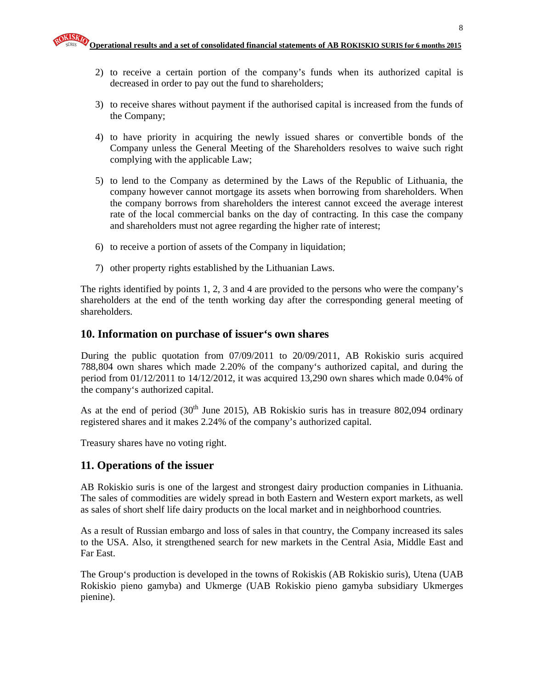- 2) to receive a certain portion of the company's funds when its authorized capital is decreased in order to pay out the fund to shareholders;
- 3) to receive shares without payment if the authorised capital is increased from the funds of the Company;
- 4) to have priority in acquiring the newly issued shares or convertible bonds of the Company unless the General Meeting of the Shareholders resolves to waive such right complying with the applicable Law;
- 5) to lend to the Company as determined by the Laws of the Republic of Lithuania, the company however cannot mortgage its assets when borrowing from shareholders. When the company borrows from shareholders the interest cannot exceed the average interest rate of the local commercial banks on the day of contracting. In this case the company and shareholders must not agree regarding the higher rate of interest;
- 6) to receive a portion of assets of the Company in liquidation;
- 7) other property rights established by the Lithuanian Laws.

The rights identified by points 1, 2, 3 and 4 are provided to the persons who were the company's shareholders at the end of the tenth working day after the corresponding general meeting of shareholders.

#### **10. Information on purchase of issuer's own shares**

During the public quotation from 07/09/2011 to 20/09/2011, AB Rokiskio suris acquired 788,804 own shares which made 2.20% of the company's authorized capital, and during the period from 01/12/2011 to 14/12/2012, it was acquired 13,290 own shares which made 0.04% of the company's authorized capital.

As at the end of period  $(30<sup>th</sup>$  June 2015), AB Rokiskio suris has in treasure 802,094 ordinary registered shares and it makes 2.24% of the company's authorized capital.

Treasury shares have no voting right.

## **11. Operations of the issuer**

AB Rokiskio suris is one of the largest and strongest dairy production companies in Lithuania. The sales of commodities are widely spread in both Eastern and Western export markets, as well as sales of short shelf life dairy products on the local market and in neighborhood countries.

As a result of Russian embargo and loss of sales in that country, the Company increased its sales to the USA. Also, it strengthened search for new markets in the Central Asia, Middle East and Far East.

The Group's production is developed in the towns of Rokiskis (AB Rokiskio suris), Utena (UAB Rokiskio pieno gamyba) and Ukmerge (UAB Rokiskio pieno gamyba subsidiary Ukmerges pienine).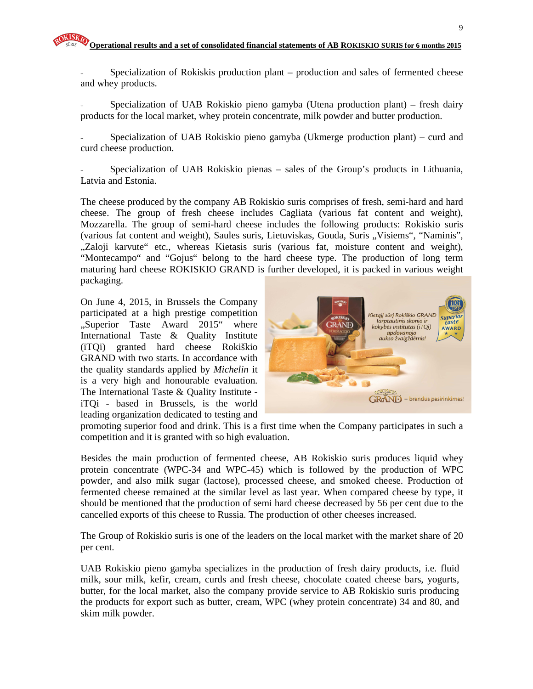Specialization of Rokiskis production plant – production and sales of fermented cheese and whey products.

Specialization of UAB Rokiskio pieno gamyba (Utena production plant) – fresh dairy products for the local market, whey protein concentrate, milk powder and butter production.

- Specialization of UAB Rokiskio pieno gamyba (Ukmerge production plant) – curd and curd cheese production.

- Specialization of UAB Rokiskio pienas – sales of the Group's products in Lithuania, Latvia and Estonia.

The cheese produced by the company AB Rokiskio suris comprises of fresh, semi-hard and hard cheese. The group of fresh cheese includes Cagliata (various fat content and weight), Mozzarella. The group of semi-hard cheese includes the following products: Rokiskio suris (various fat content and weight), Saules suris, Lietuviskas, Gouda, Suris "Visiems", "Naminis", "Zaloji karvute" etc., whereas Kietasis suris (various fat, moisture content and weight), "Montecampo" and "Gojus" belong to the hard cheese type. The production of long term maturing hard cheese ROKISKIO GRAND is further developed, it is packed in various weight packaging.

On June 4, 2015, in Brussels the Company participated at a high prestige competition "Superior Taste Award 2015" where International Taste & Quality Institute (iTQi) granted hard cheese Rokiškio GRAND with two starts. In accordance with the quality standards applied by *Michelin* it is a very high and honourable evaluation. The International Taste & Quality Institute iTQi - based in Brussels, is the world leading organization dedicated to testing and



promoting superior food and drink. This is a first time when the Company participates in such a competition and it is granted with so high evaluation.

Besides the main production of fermented cheese, AB Rokiskio suris produces liquid whey protein concentrate (WPC-34 and WPC-45) which is followed by the production of WPC powder, and also milk sugar (lactose), processed cheese, and smoked cheese. Production of fermented cheese remained at the similar level as last year. When compared cheese by type, it should be mentioned that the production of semi hard cheese decreased by 56 per cent due to the cancelled exports of this cheese to Russia. The production of other cheeses increased.

The Group of Rokiskio suris is one of the leaders on the local market with the market share of 20 per cent.

UAB Rokiskio pieno gamyba specializes in the production of fresh dairy products, i.e. fluid milk, sour milk, kefir, cream, curds and fresh cheese, chocolate coated cheese bars, yogurts, butter, for the local market, also the company provide service to AB Rokiskio suris producing the products for export such as butter, cream, WPC (whey protein concentrate) 34 and 80, and skim milk powder.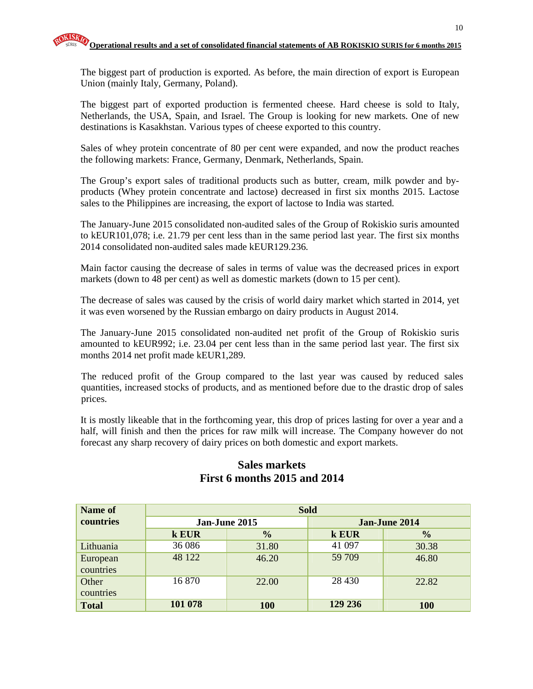The biggest part of production is exported. As before, the main direction of export is European Union (mainly Italy, Germany, Poland).

The biggest part of exported production is fermented cheese. Hard cheese is sold to Italy, Netherlands, the USA, Spain, and Israel. The Group is looking for new markets. One of new destinations is Kasakhstan. Various types of cheese exported to this country.

Sales of whey protein concentrate of 80 per cent were expanded, and now the product reaches the following markets: France, Germany, Denmark, Netherlands, Spain.

The Group's export sales of traditional products such as butter, cream, milk powder and byproducts (Whey protein concentrate and lactose) decreased in first six months 2015. Lactose sales to the Philippines are increasing, the export of lactose to India was started.

The January-June 2015 consolidated non-audited sales of the Group of Rokiskio suris amounted to kEUR101,078; i.e. 21.79 per cent less than in the same period last year. The first six months 2014 consolidated non-audited sales made kEUR129.236.

Main factor causing the decrease of sales in terms of value was the decreased prices in export markets (down to 48 per cent) as well as domestic markets (down to 15 per cent).

The decrease of sales was caused by the crisis of world dairy market which started in 2014, yet it was even worsened by the Russian embargo on dairy products in August 2014.

The January-June 2015 consolidated non-audited net profit of the Group of Rokiskio suris amounted to kEUR992; i.e. 23.04 per cent less than in the same period last year. The first six months 2014 net profit made kEUR1,289.

The reduced profit of the Group compared to the last year was caused by reduced sales quantities, increased stocks of products, and as mentioned before due to the drastic drop of sales prices.

It is mostly likeable that in the forthcoming year, this drop of prices lasting for over a year and a half, will finish and then the prices for raw milk will increase. The Company however do not forecast any sharp recovery of dairy prices on both domestic and export markets.

| Name of      | <b>Sold</b> |               |         |               |  |  |  |
|--------------|-------------|---------------|---------|---------------|--|--|--|
| countries    |             | Jan-June 2015 |         | Jan-June 2014 |  |  |  |
|              | k EUR       | $\frac{1}{2}$ |         | $\frac{0}{0}$ |  |  |  |
| Lithuania    | 36 086      | 31.80         | 41 097  | 30.38         |  |  |  |
| European     | 48 122      | 46.20         | 59 709  | 46.80         |  |  |  |
| countries    |             |               |         |               |  |  |  |
| Other        | 16 870      | 22.00         | 28 4 30 | 22.82         |  |  |  |
| countries    |             |               |         |               |  |  |  |
| <b>Total</b> | 101 078     | 100           | 129 236 | 100           |  |  |  |

## **Sales markets First 6 months 2015 and 2014**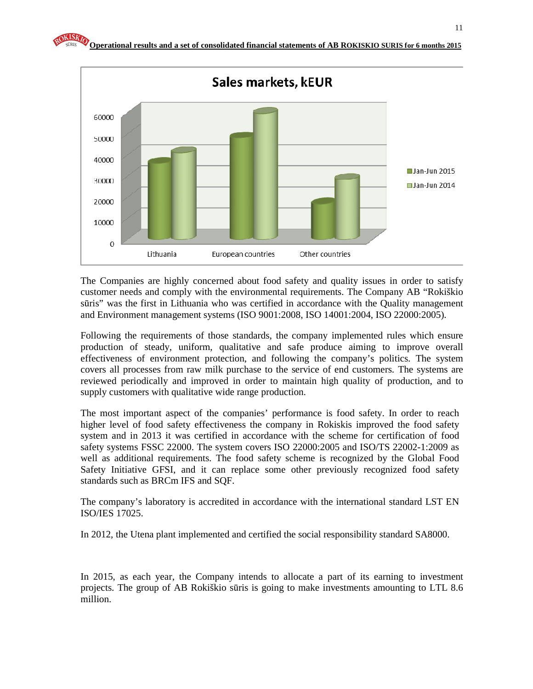

The Companies are highly concerned about food safety and quality issues in order to satisfy customer needs and comply with the environmental requirements. The Company AB "Rokiškio sūris" was the first in Lithuania who was certified in accordance with the Quality management and Environment management systems (ISO 9001:2008, ISO 14001:2004, ISO 22000:2005).

Following the requirements of those standards, the company implemented rules which ensure production of steady, uniform, qualitative and safe produce aiming to improve overall effectiveness of environment protection, and following the company's politics. The system covers all processes from raw milk purchase to the service of end customers. The systems are reviewed periodically and improved in order to maintain high quality of production, and to supply customers with qualitative wide range production.

The most important aspect of the companies' performance is food safety. In order to reach higher level of food safety effectiveness the company in Rokiskis improved the food safety system and in 2013 it was certified in accordance with the scheme for certification of food safety systems FSSC 22000. The system covers ISO 22000:2005 and ISO/TS 22002-1:2009 as well as additional requirements. The food safety scheme is recognized by the Global Food Safety Initiative GFSI, and it can replace some other previously recognized food safety standards such as BRCm IFS and SQF.

The company's laboratory is accredited in accordance with the international standard LST EN ISO/IES 17025.

In 2012, the Utena plant implemented and certified the social responsibility standard SA8000.

In 2015, as each year, the Company intends to allocate a part of its earning to investment projects. The group of AB Rokiškio sūris is going to make investments amounting to LTL 8.6 million.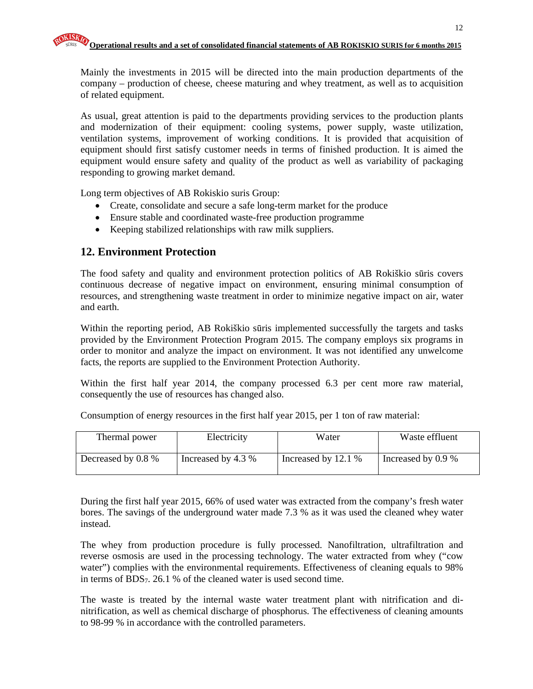Mainly the investments in 2015 will be directed into the main production departments of the company – production of cheese, cheese maturing and whey treatment, as well as to acquisition of related equipment.

As usual, great attention is paid to the departments providing services to the production plants and modernization of their equipment: cooling systems, power supply, waste utilization, ventilation systems, improvement of working conditions. It is provided that acquisition of equipment should first satisfy customer needs in terms of finished production. It is aimed the equipment would ensure safety and quality of the product as well as variability of packaging responding to growing market demand.

Long term objectives of AB Rokiskio suris Group:

- Create, consolidate and secure a safe long-term market for the produce
- Ensure stable and coordinated waste-free production programme
- Keeping stabilized relationships with raw milk suppliers.

## **12. Environment Protection**

The food safety and quality and environment protection politics of AB Rokiškio sūris covers continuous decrease of negative impact on environment, ensuring minimal consumption of resources, and strengthening waste treatment in order to minimize negative impact on air, water and earth.

Within the reporting period, AB Rokiškio sūris implemented successfully the targets and tasks provided by the Environment Protection Program 2015. The company employs six programs in order to monitor and analyze the impact on environment. It was not identified any unwelcome facts, the reports are supplied to the Environment Protection Authority.

Within the first half year 2014, the company processed 6.3 per cent more raw material, consequently the use of resources has changed also.

Consumption of energy resources in the first half year 2015, per 1 ton of raw material:

| Thermal power      | Electricity        | Water               | Waste effluent     |
|--------------------|--------------------|---------------------|--------------------|
| Decreased by 0.8 % | Increased by 4.3 % | Increased by 12.1 % | Increased by 0.9 % |

During the first half year 2015, 66% of used water was extracted from the company's fresh water bores. The savings of the underground water made 7.3 % as it was used the cleaned whey water instead.

The whey from production procedure is fully processed. Nanofiltration, ultrafiltration and reverse osmosis are used in the processing technology. The water extracted from whey ("cow water") complies with the environmental requirements. Effectiveness of cleaning equals to 98% in terms of BDS7. 26.1 % of the cleaned water is used second time.

The waste is treated by the internal waste water treatment plant with nitrification and dinitrification, as well as chemical discharge of phosphorus. The effectiveness of cleaning amounts to 98-99 % in accordance with the controlled parameters.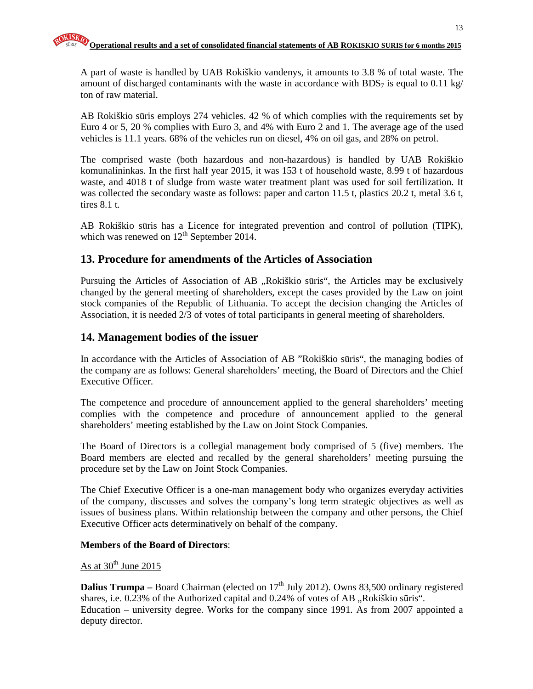A part of waste is handled by UAB Rokiškio vandenys, it amounts to 3.8 % of total waste. The amount of discharged contaminants with the waste in accordance with BDS<sub>7</sub> is equal to 0.11 kg/ ton of raw material.

AB Rokiškio sūris employs 274 vehicles. 42 % of which complies with the requirements set by Euro 4 or 5, 20 % complies with Euro 3, and 4% with Euro 2 and 1. The average age of the used vehicles is 11.1 years. 68% of the vehicles run on diesel, 4% on oil gas, and 28% on petrol.

The comprised waste (both hazardous and non-hazardous) is handled by UAB Rokiškio komunalininkas. In the first half year 2015, it was 153 t of household waste, 8.99 t of hazardous waste, and 4018 t of sludge from waste water treatment plant was used for soil fertilization. It was collected the secondary waste as follows: paper and carton 11.5 t, plastics 20.2 t, metal 3.6 t, tires 8.1 t.

AB Rokiškio sūris has a Licence for integrated prevention and control of pollution (TIPK), which was renewed on  $12^{th}$  September 2014.

## **13. Procedure for amendments of the Articles of Association**

Pursuing the Articles of Association of AB ,, Rokiškio sūris", the Articles may be exclusively changed by the general meeting of shareholders, except the cases provided by the Law on joint stock companies of the Republic of Lithuania. To accept the decision changing the Articles of Association, it is needed 2/3 of votes of total participants in general meeting of shareholders.

#### **14. Management bodies of the issuer**

In accordance with the Articles of Association of AB "Rokiškio sūris", the managing bodies of the company are as follows: General shareholders' meeting, the Board of Directors and the Chief Executive Officer.

The competence and procedure of announcement applied to the general shareholders' meeting complies with the competence and procedure of announcement applied to the general shareholders' meeting established by the Law on Joint Stock Companies.

The Board of Directors is a collegial management body comprised of 5 (five) members. The Board members are elected and recalled by the general shareholders' meeting pursuing the procedure set by the Law on Joint Stock Companies.

The Chief Executive Officer is a one-man management body who organizes everyday activities of the company, discusses and solves the company's long term strategic objectives as well as issues of business plans. Within relationship between the company and other persons, the Chief Executive Officer acts determinatively on behalf of the company.

#### **Members of the Board of Directors**:

#### As at  $30<sup>th</sup>$  June 2015

**Dalius Trumpa** – Board Chairman (elected on  $17<sup>th</sup>$  July 2012). Owns 83,500 ordinary registered shares, i.e. 0.23% of the Authorized capital and 0.24% of votes of AB "Rokiškio sūris". Education – university degree. Works for the company since 1991. As from 2007 appointed a deputy director.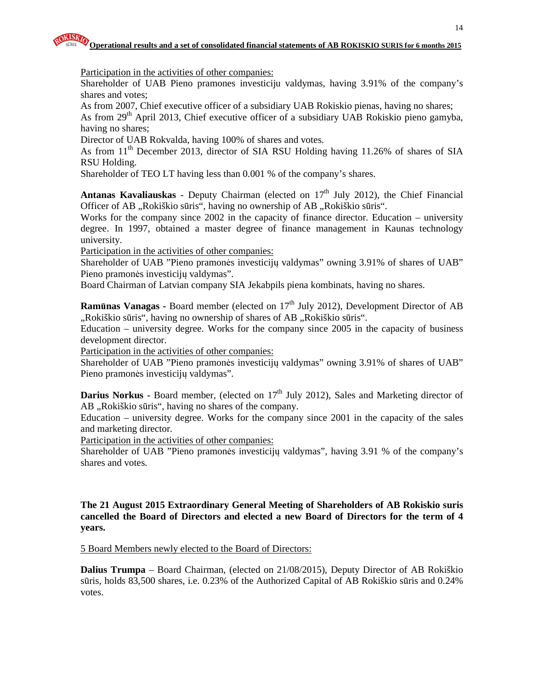Participation in the activities of other companies:

Shareholder of UAB Pieno pramones investiciju valdymas, having 3.91% of the company's shares and votes;

As from 2007, Chief executive officer of a subsidiary UAB Rokiskio pienas, having no shares; As from 29<sup>th</sup> April 2013, Chief executive officer of a subsidiary UAB Rokiskio pieno gamyba, having no shares;

Director of UAB Rokvalda, having 100% of shares and votes.

As from 11<sup>th</sup> December 2013, director of SIA RSU Holding having 11.26% of shares of SIA RSU Holding.

Shareholder of TEO LT having less than 0.001 % of the company's shares.

**Antanas Kavaliauskas** - Deputy Chairman (elected on  $17<sup>th</sup>$  July 2012), the Chief Financial Officer of AB "Rokiškio sūris", having no ownership of AB "Rokiškio sūris".

Works for the company since 2002 in the capacity of finance director. Education – university degree. In 1997, obtained a master degree of finance management in Kaunas technology university.

Participation in the activities of other companies:

Shareholder of UAB "Pieno pramonės investicijų valdymas" owning 3.91% of shares of UAB" Pieno pramonės investicijų valdymas".

Board Chairman of Latvian company SIA Jekabpils piena kombinats, having no shares.

**Ramūnas Vanagas - Board member (elected on 17<sup>th</sup> July 2012), Development Director of AB** ",Rokiškio sūris", having no ownership of shares of AB "Rokiškio sūris".

Education – university degree. Works for the company since 2005 in the capacity of business development director.

Participation in the activities of other companies:

Shareholder of UAB "Pieno pramonės investicijų valdymas" owning 3.91% of shares of UAB" Pieno pramonės investicijų valdymas".

**Darius Norkus - Board member, (elected on 17<sup>th</sup> July 2012), Sales and Marketing director of** AB "Rokiškio sūris", having no shares of the company.

Education – university degree. Works for the company since 2001 in the capacity of the sales and marketing director.

Participation in the activities of other companies:

Shareholder of UAB "Pieno pramonės investicijų valdymas", having 3.91 % of the company's shares and votes.

**The 21 August 2015 Extraordinary General Meeting of Shareholders of AB Rokiskio suris cancelled the Board of Directors and elected a new Board of Directors for the term of 4 years.** 

5 Board Members newly elected to the Board of Directors:

**Dalius Trumpa** – Board Chairman, (elected on 21/08/2015), Deputy Director of AB Rokiškio sūris, holds 83,500 shares, i.e. 0.23% of the Authorized Capital of AB Rokiškio sūris and 0.24% votes.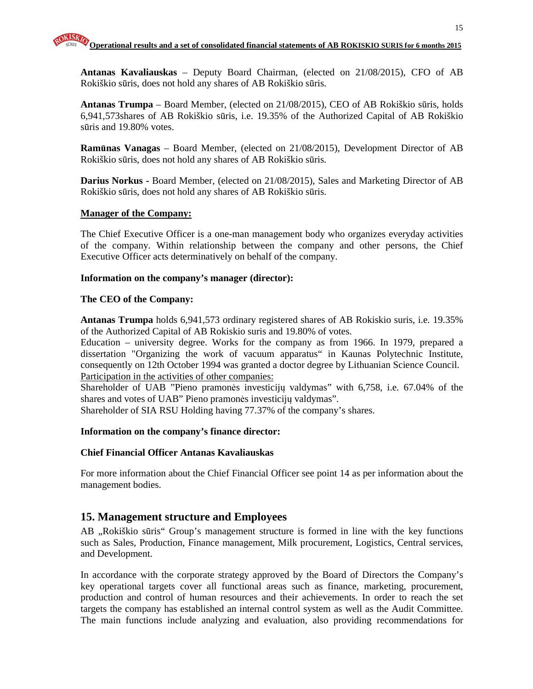**Antanas Kavaliauskas** – Deputy Board Chairman, (elected on 21/08/2015), CFO of AB Rokiškio sūris, does not hold any shares of AB Rokiškio sūris.

**Antanas Trumpa** – Board Member, (elected on 21/08/2015), CEO of AB Rokiškio sūris, holds 6,941,573shares of AB Rokiškio sūris, i.e. 19.35% of the Authorized Capital of AB Rokiškio sūris and 19.80% votes.

**Ram**ū**nas Vanagas** – Board Member, (elected on 21/08/2015), Development Director of AB Rokiškio sūris, does not hold any shares of AB Rokiškio sūris.

**Darius Norkus -** Board Member, (elected on 21/08/2015), Sales and Marketing Director of AB Rokiškio sūris, does not hold any shares of AB Rokiškio sūris.

#### **Manager of the Company:**

The Chief Executive Officer is a one-man management body who organizes everyday activities of the company. Within relationship between the company and other persons, the Chief Executive Officer acts determinatively on behalf of the company.

#### **Information on the company's manager (director):**

#### **The CEO of the Company:**

**Antanas Trumpa** holds 6,941,573 ordinary registered shares of AB Rokiskio suris, i.e. 19.35% of the Authorized Capital of AB Rokiskio suris and 19.80% of votes.

Education – university degree. Works for the company as from 1966. In 1979, prepared a dissertation "Organizing the work of vacuum apparatus" in Kaunas Polytechnic Institute, consequently on 12th October 1994 was granted a doctor degree by Lithuanian Science Council. Participation in the activities of other companies:

Shareholder of UAB "Pieno pramonės investicijų valdymas" with 6,758, i.e. 67.04% of the shares and votes of UAB" Pieno pramonės investicijų valdymas".

Shareholder of SIA RSU Holding having 77.37% of the company's shares.

#### **Information on the company's finance director:**

#### **Chief Financial Officer Antanas Kavaliauskas**

For more information about the Chief Financial Officer see point 14 as per information about the management bodies.

## **15. Management structure and Employees**

AB "Rokiškio sūris" Group's management structure is formed in line with the key functions such as Sales, Production, Finance management, Milk procurement, Logistics, Central services, and Development.

In accordance with the corporate strategy approved by the Board of Directors the Company's key operational targets cover all functional areas such as finance, marketing, procurement, production and control of human resources and their achievements. In order to reach the set targets the company has established an internal control system as well as the Audit Committee. The main functions include analyzing and evaluation, also providing recommendations for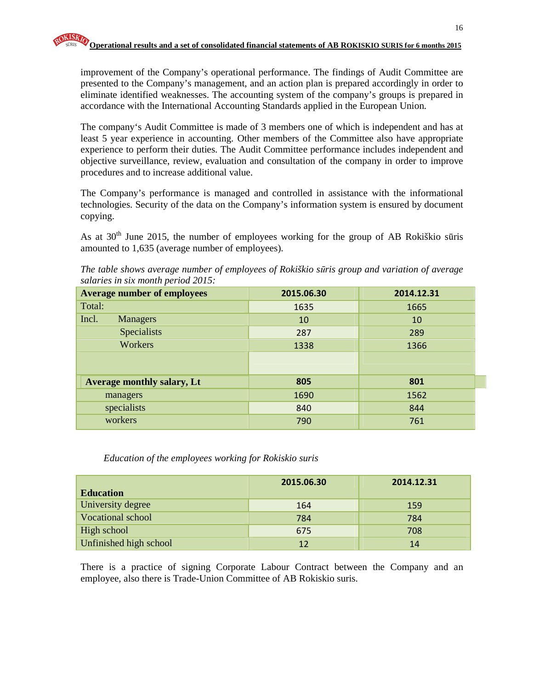improvement of the Company's operational performance. The findings of Audit Committee are presented to the Company's management, and an action plan is prepared accordingly in order to eliminate identified weaknesses. The accounting system of the company's groups is prepared in accordance with the International Accounting Standards applied in the European Union.

The company's Audit Committee is made of 3 members one of which is independent and has at least 5 year experience in accounting. Other members of the Committee also have appropriate experience to perform their duties. The Audit Committee performance includes independent and objective surveillance, review, evaluation and consultation of the company in order to improve procedures and to increase additional value.

The Company's performance is managed and controlled in assistance with the informational technologies. Security of the data on the Company's information system is ensured by document copying.

As at  $30<sup>th</sup>$  June 2015, the number of employees working for the group of AB Rokiškio sūris amounted to 1,635 (average number of employees).

*The table shows average number of employees of Rokiškio s*ū*ris group and variation of average salaries in six month period 2015:*

| <b>Average number of employees</b> | 2015.06.30 | 2014.12.31 |
|------------------------------------|------------|------------|
| Total:                             | 1635       | 1665       |
| Incl.<br><b>Managers</b>           | 10         | 10         |
| <b>Specialists</b>                 | 287        | 289        |
| Workers                            | 1338       | 1366       |
|                                    |            |            |
| <b>Average monthly salary, Lt</b>  | 805        | 801        |
| managers                           | 1690       | 1562       |
| specialists                        | 840        | 844        |
| workers                            | 790        | 761        |

*Education of the employees working for Rokiskio suris* 

|                        | 2015.06.30 | 2014.12.31 |
|------------------------|------------|------------|
| <b>Education</b>       |            |            |
| University degree      | 164        | 159        |
| Vocational school      | 784        | 784        |
| High school            | 675        | 708        |
| Unfinished high school | 12         | 14         |

There is a practice of signing Corporate Labour Contract between the Company and an employee, also there is Trade-Union Committee of AB Rokiskio suris.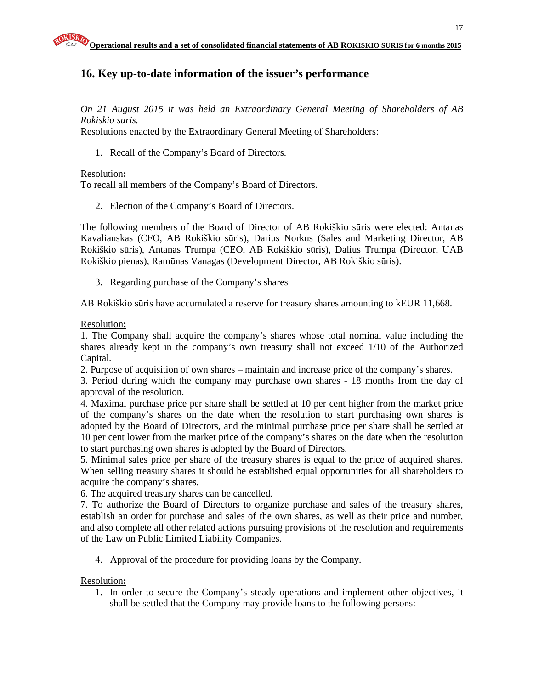## **16. Key up-to-date information of the issuer's performance**

*On 21 August 2015 it was held an Extraordinary General Meeting of Shareholders of AB Rokiskio suris.* 

Resolutions enacted by the Extraordinary General Meeting of Shareholders:

1. Recall of the Company's Board of Directors.

#### Resolution**:**

To recall all members of the Company's Board of Directors.

2. Election of the Company's Board of Directors.

The following members of the Board of Director of AB Rokiškio sūris were elected: Antanas Kavaliauskas (CFO, AB Rokiškio sūris), Darius Norkus (Sales and Marketing Director, AB Rokiškio sūris), Antanas Trumpa (CEO, AB Rokiškio sūris), Dalius Trumpa (Director, UAB Rokiškio pienas), Ramūnas Vanagas (Development Director, AB Rokiškio sūris).

3. Regarding purchase of the Company's shares

AB Rokiškio sūris have accumulated a reserve for treasury shares amounting to kEUR 11,668.

#### Resolution**:**

1. The Company shall acquire the company's shares whose total nominal value including the shares already kept in the company's own treasury shall not exceed 1/10 of the Authorized Capital.

2. Purpose of acquisition of own shares – maintain and increase price of the company's shares.

3. Period during which the company may purchase own shares - 18 months from the day of approval of the resolution.

4. Maximal purchase price per share shall be settled at 10 per cent higher from the market price of the company's shares on the date when the resolution to start purchasing own shares is adopted by the Board of Directors, and the minimal purchase price per share shall be settled at 10 per cent lower from the market price of the company's shares on the date when the resolution to start purchasing own shares is adopted by the Board of Directors.

5. Minimal sales price per share of the treasury shares is equal to the price of acquired shares. When selling treasury shares it should be established equal opportunities for all shareholders to acquire the company's shares.

6. The acquired treasury shares can be cancelled.

7. To authorize the Board of Directors to organize purchase and sales of the treasury shares, establish an order for purchase and sales of the own shares, as well as their price and number, and also complete all other related actions pursuing provisions of the resolution and requirements of the Law on Public Limited Liability Companies.

4. Approval of the procedure for providing loans by the Company.

#### Resolution**:**

1. In order to secure the Company's steady operations and implement other objectives, it shall be settled that the Company may provide loans to the following persons: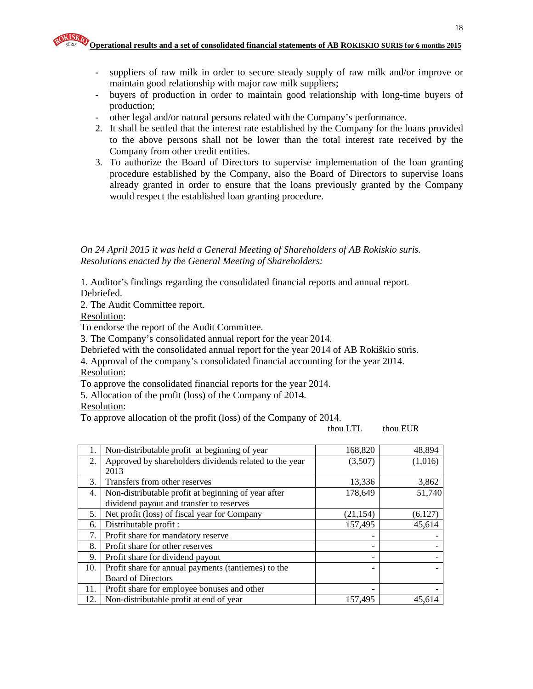- suppliers of raw milk in order to secure steady supply of raw milk and/or improve or maintain good relationship with major raw milk suppliers;
- buyers of production in order to maintain good relationship with long-time buyers of production;
- other legal and/or natural persons related with the Company's performance.
- 2. It shall be settled that the interest rate established by the Company for the loans provided to the above persons shall not be lower than the total interest rate received by the Company from other credit entities.
- 3. To authorize the Board of Directors to supervise implementation of the loan granting procedure established by the Company, also the Board of Directors to supervise loans already granted in order to ensure that the loans previously granted by the Company would respect the established loan granting procedure.

*On 24 April 2015 it was held a General Meeting of Shareholders of AB Rokiskio suris. Resolutions enacted by the General Meeting of Shareholders:* 

1. Auditor's findings regarding the consolidated financial reports and annual report. Debriefed.

2. The Audit Committee report.

Resolution:

To endorse the report of the Audit Committee.

3. The Company's consolidated annual report for the year 2014.

Debriefed with the consolidated annual report for the year 2014 of AB Rokiškio sūris.

4. Approval of the company's consolidated financial accounting for the year 2014. Resolution:

To approve the consolidated financial reports for the year 2014.

5. Allocation of the profit (loss) of the Company of 2014.

Resolution:

To approve allocation of the profit (loss) of the Company of 2014.

thou LTL thou EUR

| 1.  | Non-distributable profit at beginning of year          | 168,820   | 48,894  |
|-----|--------------------------------------------------------|-----------|---------|
| 2.  | Approved by shareholders dividends related to the year | (3,507)   | (1,016) |
|     | 2013                                                   |           |         |
| 3.  | Transfers from other reserves                          | 13,336    | 3,862   |
| 4.  | Non-distributable profit at beginning of year after    | 178,649   | 51,740  |
|     | dividend payout and transfer to reserves               |           |         |
| 5.  | Net profit (loss) of fiscal year for Company           | (21, 154) | (6,127) |
| 6.  | Distributable profit:                                  | 157,495   | 45,614  |
| 7.  | Profit share for mandatory reserve                     |           |         |
| 8.  | Profit share for other reserves                        |           |         |
| 9.  | Profit share for dividend payout                       | -         |         |
| 10. | Profit share for annual payments (tantiemes) to the    |           |         |
|     | <b>Board of Directors</b>                              |           |         |
| 11. | Profit share for employee bonuses and other            |           |         |
| 12. | Non-distributable profit at end of year                | 157,495   | 45.614  |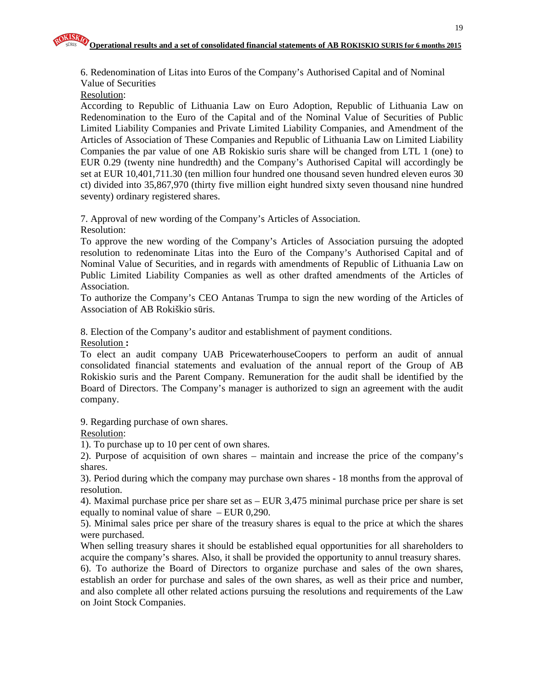6. Redenomination of Litas into Euros of the Company's Authorised Capital and of Nominal Value of Securities

Resolution:

According to Republic of Lithuania Law on Euro Adoption, Republic of Lithuania Law on Redenomination to the Euro of the Capital and of the Nominal Value of Securities of Public Limited Liability Companies and Private Limited Liability Companies, and Amendment of the Articles of Association of These Companies and Republic of Lithuania Law on Limited Liability Companies the par value of one AB Rokiskio suris share will be changed from LTL 1 (one) to EUR 0.29 (twenty nine hundredth) and the Company's Authorised Capital will accordingly be set at EUR 10,401,711.30 (ten million four hundred one thousand seven hundred eleven euros 30 ct) divided into 35,867,970 (thirty five million eight hundred sixty seven thousand nine hundred seventy) ordinary registered shares.

7. Approval of new wording of the Company's Articles of Association.

Resolution:

To approve the new wording of the Company's Articles of Association pursuing the adopted resolution to redenominate Litas into the Euro of the Company's Authorised Capital and of Nominal Value of Securities, and in regards with amendments of Republic of Lithuania Law on Public Limited Liability Companies as well as other drafted amendments of the Articles of Association.

To authorize the Company's CEO Antanas Trumpa to sign the new wording of the Articles of Association of AB Rokiškio sūris.

8. Election of the Company's auditor and establishment of payment conditions.

Resolution **:**

To elect an audit company UAB PricewaterhouseCoopers to perform an audit of annual consolidated financial statements and evaluation of the annual report of the Group of AB Rokiskio suris and the Parent Company. Remuneration for the audit shall be identified by the Board of Directors. The Company's manager is authorized to sign an agreement with the audit company.

9. Regarding purchase of own shares.

Resolution:

1). To purchase up to 10 per cent of own shares.

2). Purpose of acquisition of own shares – maintain and increase the price of the company's shares.

3). Period during which the company may purchase own shares - 18 months from the approval of resolution.

4). Maximal purchase price per share set as – EUR 3,475 minimal purchase price per share is set equally to nominal value of share – EUR 0,290.

5). Minimal sales price per share of the treasury shares is equal to the price at which the shares were purchased.

When selling treasury shares it should be established equal opportunities for all shareholders to acquire the company's shares. Also, it shall be provided the opportunity to annul treasury shares. 6). To authorize the Board of Directors to organize purchase and sales of the own shares, establish an order for purchase and sales of the own shares, as well as their price and number, and also complete all other related actions pursuing the resolutions and requirements of the Law on Joint Stock Companies.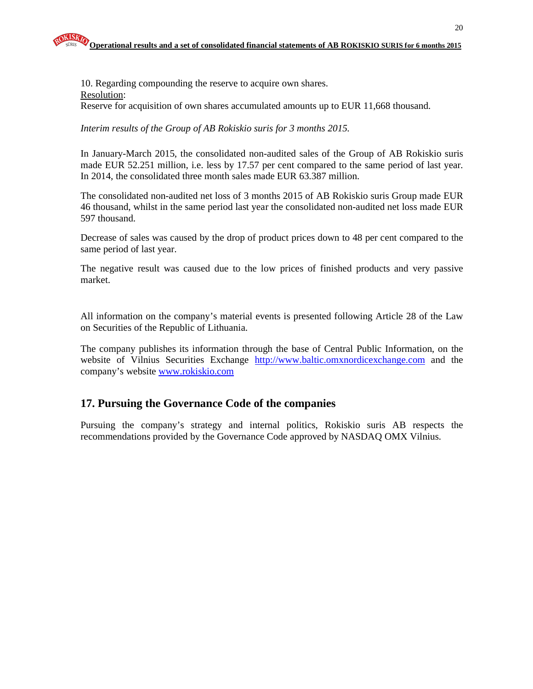10. Regarding compounding the reserve to acquire own shares. Resolution: Reserve for acquisition of own shares accumulated amounts up to EUR 11,668 thousand.

*Interim results of the Group of AB Rokiskio suris for 3 months 2015.* 

In January-March 2015, the consolidated non-audited sales of the Group of AB Rokiskio suris made EUR 52.251 million, i.e. less by 17.57 per cent compared to the same period of last year. In 2014, the consolidated three month sales made EUR 63.387 million.

The consolidated non-audited net loss of 3 months 2015 of AB Rokiskio suris Group made EUR 46 thousand, whilst in the same period last year the consolidated non-audited net loss made EUR 597 thousand.

Decrease of sales was caused by the drop of product prices down to 48 per cent compared to the same period of last year.

The negative result was caused due to the low prices of finished products and very passive market.

All information on the company's material events is presented following Article 28 of the Law on Securities of the Republic of Lithuania.

The company publishes its information through the base of Central Public Information, on the website of Vilnius Securities Exchange http://www.baltic.omxnordicexchange.com and the company's website www.rokiskio.com

## **17. Pursuing the Governance Code of the companies**

Pursuing the company's strategy and internal politics, Rokiskio suris AB respects the recommendations provided by the Governance Code approved by NASDAQ OMX Vilnius.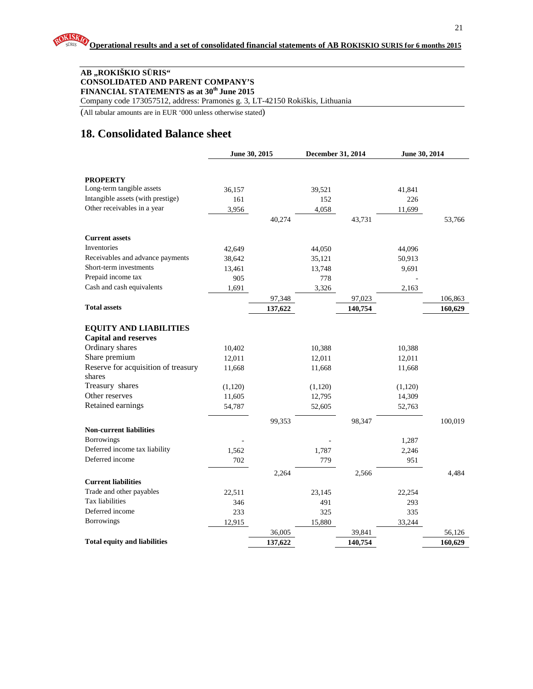#### **AB "ROKIŠKIO S**Ū**RIS" CONSOLIDATED AND PARENT COMPANY'S FINANCIAL STATEMENTS as at 30th June 2015**

Company code 173057512, address: Pramonės g. 3, LT-42150 Rokiškis, Lithuania

(All tabular amounts are in EUR '000 unless otherwise stated)

## **18. Consolidated Balance sheet**

|                                                              |         | June 30, 2015 | December 31, 2014 |         | June 30, 2014 |         |
|--------------------------------------------------------------|---------|---------------|-------------------|---------|---------------|---------|
|                                                              |         |               |                   |         |               |         |
| <b>PROPERTY</b>                                              |         |               |                   |         |               |         |
| Long-term tangible assets                                    | 36,157  |               | 39,521            |         | 41,841        |         |
| Intangible assets (with prestige)                            | 161     |               | 152               |         | 226           |         |
| Other receivables in a year                                  | 3,956   |               | 4,058             |         | 11,699        |         |
|                                                              |         | 40,274        |                   | 43,731  |               | 53,766  |
|                                                              |         |               |                   |         |               |         |
| <b>Current assets</b>                                        |         |               |                   |         |               |         |
| Inventories                                                  | 42,649  |               | 44,050            |         | 44,096        |         |
| Receivables and advance payments                             | 38,642  |               | 35,121            |         | 50,913        |         |
| Short-term investments                                       | 13,461  |               | 13,748            |         | 9,691         |         |
| Prepaid income tax                                           | 905     |               | 778               |         |               |         |
| Cash and cash equivalents                                    | 1,691   |               | 3,326             |         | 2,163         |         |
|                                                              |         | 97,348        |                   | 97,023  |               | 106,863 |
| <b>Total assets</b>                                          |         | 137,622       |                   | 140,754 |               | 160,629 |
|                                                              |         |               |                   |         |               |         |
| <b>EQUITY AND LIABILITIES</b><br><b>Capital and reserves</b> |         |               |                   |         |               |         |
| Ordinary shares                                              |         |               |                   |         |               |         |
| Share premium                                                | 10,402  |               | 10,388            |         | 10,388        |         |
| Reserve for acquisition of treasury                          | 12,011  |               | 12,011            |         | 12,011        |         |
| shares                                                       | 11,668  |               | 11,668            |         | 11,668        |         |
| Treasury shares                                              | (1,120) |               | (1,120)           |         | (1,120)       |         |
| Other reserves                                               | 11,605  |               | 12,795            |         | 14,309        |         |
| Retained earnings                                            | 54,787  |               | 52,605            |         | 52,763        |         |
|                                                              |         |               |                   |         |               |         |
|                                                              |         | 99,353        |                   | 98,347  |               | 100,019 |
| <b>Non-current liabilities</b>                               |         |               |                   |         |               |         |
| <b>Borrowings</b>                                            |         |               |                   |         | 1,287         |         |
| Deferred income tax liability                                | 1,562   |               | 1,787             |         | 2,246         |         |
| Deferred income                                              | 702     |               | 779               |         | 951           |         |
|                                                              |         | 2,264         |                   | 2,566   |               | 4,484   |
| <b>Current liabilities</b>                                   |         |               |                   |         |               |         |
| Trade and other payables                                     | 22,511  |               | 23,145            |         | 22,254        |         |
| Tax liabilities                                              | 346     |               | 491               |         | 293           |         |
| Deferred income                                              | 233     |               | 325               |         | 335           |         |
| Borrowings                                                   | 12,915  |               | 15,880            |         | 33,244        |         |
|                                                              |         | 36,005        |                   | 39,841  |               | 56,126  |
| <b>Total equity and liabilities</b>                          |         | 137,622       |                   | 140,754 |               | 160,629 |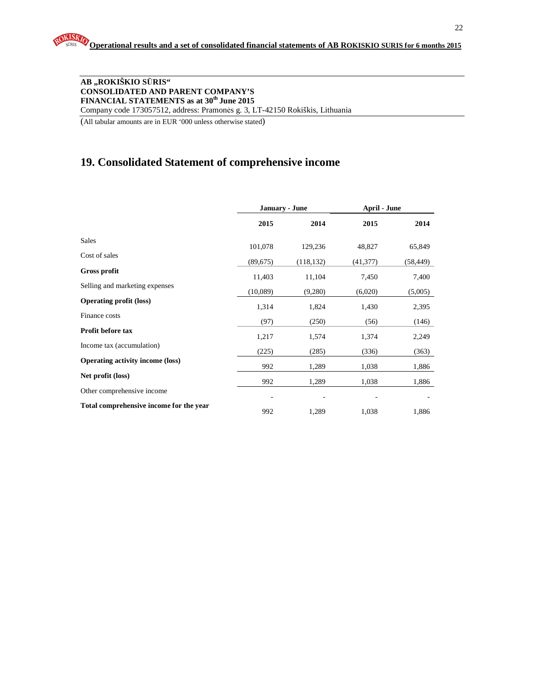#### **AB "ROKIŠKIO S**Ū**RIS" CONSOLIDATED AND PARENT COMPANY'S FINANCIAL STATEMENTS as at 30th June 2015**  Company code 173057512, address: Pramonės g. 3, LT-42150 Rokiškis, Lithuania

(All tabular amounts are in EUR '000 unless otherwise stated)

## **19. Consolidated Statement of comprehensive income**

|                                         | January - June |            | <b>April - June</b> |           |
|-----------------------------------------|----------------|------------|---------------------|-----------|
|                                         | 2015           | 2014       | 2015                | 2014      |
| <b>Sales</b>                            | 101,078        | 129,236    | 48,827              | 65,849    |
| Cost of sales                           | (89,675)       | (118, 132) | (41, 377)           | (58, 449) |
| <b>Gross profit</b>                     | 11,403         | 11,104     | 7,450               | 7,400     |
| Selling and marketing expenses          | (10,089)       | (9,280)    | (6,020)             | (5,005)   |
| <b>Operating profit (loss)</b>          | 1,314          | 1,824      | 1,430               | 2,395     |
| Finance costs                           | (97)           | (250)      | (56)                | (146)     |
| Profit before tax                       | 1,217          | 1,574      | 1,374               | 2,249     |
| Income tax (accumulation)               | (225)          | (285)      | (336)               | (363)     |
| <b>Operating activity income (loss)</b> | 992            | 1,289      | 1,038               | 1,886     |
| Net profit (loss)                       | 992            | 1,289      | 1,038               | 1,886     |
| Other comprehensive income              |                |            |                     |           |
| Total comprehensive income for the year | 992            | 1,289      | 1,038               | 1,886     |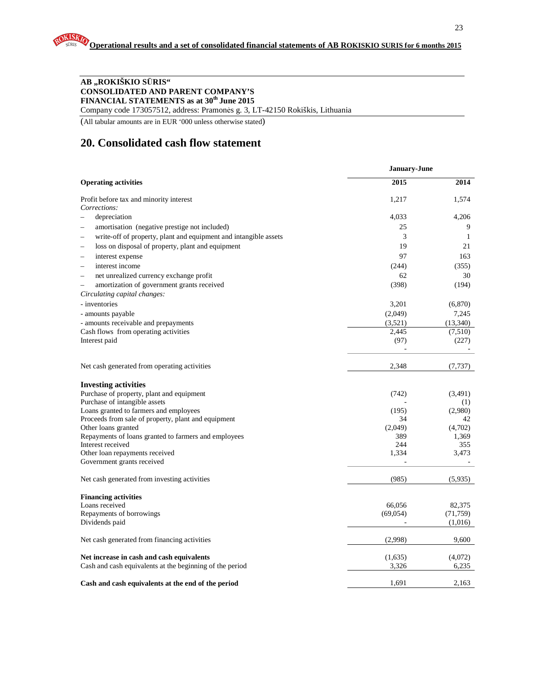#### **AB "ROKIŠKIO S**Ū**RIS" CONSOLIDATED AND PARENT COMPANY'S FINANCIAL STATEMENTS as at 30th June 2015**

Company code 173057512, address: Pramonės g. 3, LT-42150 Rokiškis, Lithuania

(All tabular amounts are in EUR '000 unless otherwise stated)

## **20. Consolidated cash flow statement**

|                                                                           | January-June |              |  |
|---------------------------------------------------------------------------|--------------|--------------|--|
| <b>Operating activities</b>                                               | 2015         | 2014         |  |
| Profit before tax and minority interest<br>Corrections:                   | 1,217        | 1,574        |  |
| depreciation<br>$\overline{\phantom{0}}$                                  | 4,033        | 4,206        |  |
| amortisation (negative prestige not included)<br>$\overline{\phantom{0}}$ | 25           | 9            |  |
| write-off of property, plant and equipment and intangible assets          | 3            | $\mathbf{1}$ |  |
| loss on disposal of property, plant and equipment                         | 19           | 21           |  |
| interest expense<br>$\overline{\phantom{0}}$                              | 97           | 163          |  |
| interest income<br>$\overline{\phantom{0}}$                               | (244)        | (355)        |  |
| net unrealized currency exchange profit<br>$\overline{\phantom{0}}$       | 62           | 30           |  |
| amortization of government grants received<br>$\overline{\phantom{0}}$    | (398)        | (194)        |  |
| Circulating capital changes:                                              |              |              |  |
| - inventories                                                             | 3,201        | (6,870)      |  |
| - amounts payable                                                         | (2,049)      | 7,245        |  |
| - amounts receivable and prepayments                                      | (3,521)      | (13,340)     |  |
| Cash flows from operating activities                                      | 2,445        | (7,510)      |  |
| Interest paid                                                             | (97)         | (227)        |  |
|                                                                           |              |              |  |
| Net cash generated from operating activities                              | 2,348        | (7, 737)     |  |
| <b>Investing activities</b>                                               |              |              |  |
| Purchase of property, plant and equipment                                 | (742)        | (3,491)      |  |
| Purchase of intangible assets                                             |              | (1)          |  |
| Loans granted to farmers and employees                                    | (195)        | (2,980)      |  |
| Proceeds from sale of property, plant and equipment                       | 34           | 42           |  |
| Other loans granted                                                       | (2,049)      | (4,702)      |  |
| Repayments of loans granted to farmers and employees                      | 389          | 1,369        |  |
| Interest received<br>Other loan repayments received                       | 244<br>1,334 | 355<br>3,473 |  |
| Government grants received                                                |              |              |  |
| Net cash generated from investing activities                              | (985)        | (5,935)      |  |
| <b>Financing activities</b>                                               |              |              |  |
| Loans received                                                            | 66,056       | 82,375       |  |
| Repayments of borrowings                                                  | (69, 054)    | (71, 759)    |  |
| Dividends paid                                                            |              | (1,016)      |  |
| Net cash generated from financing activities                              | (2,998)      | 9,600        |  |
| Net increase in cash and cash equivalents                                 | (1,635)      | (4,072)      |  |
| Cash and cash equivalents at the beginning of the period                  | 3,326        | 6,235        |  |
| Cash and cash equivalents at the end of the period                        | 1.691        | 2.163        |  |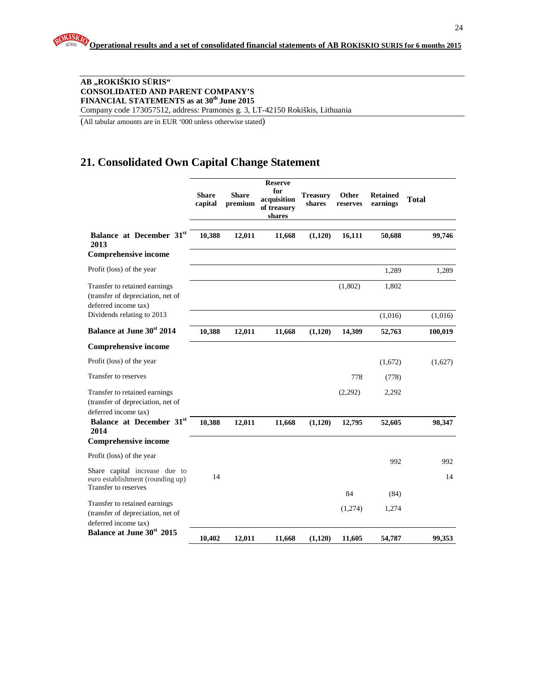#### **AB "ROKIŠKIO S**Ū**RIS" CONSOLIDATED AND PARENT COMPANY'S FINANCIAL STATEMENTS as at 30th June 2015**

Company code 173057512, address: Pramonės g. 3, LT-42150 Rokiškis, Lithuania

(All tabular amounts are in EUR '000 unless otherwise stated)

## **21. Consolidated Own Capital Change Statement**

|                                                                                            | <b>Share</b><br>capital | <b>Share</b><br>premium | <b>Reserve</b><br>for<br>acquisition<br>of treasury<br>shares | <b>Treasury</b><br>shares | Other<br>reserves | <b>Retained</b><br>earnings | <b>Total</b> |
|--------------------------------------------------------------------------------------------|-------------------------|-------------------------|---------------------------------------------------------------|---------------------------|-------------------|-----------------------------|--------------|
| Balance at December 31st<br>2013                                                           | 10,388                  | 12,011                  | 11,668                                                        | (1,120)                   | 16,111            | 50,688                      | 99,746       |
| <b>Comprehensive income</b>                                                                |                         |                         |                                                               |                           |                   |                             |              |
| Profit (loss) of the year                                                                  |                         |                         |                                                               |                           |                   | 1,289                       | 1,289        |
| Transfer to retained earnings<br>(transfer of depreciation, net of<br>deferred income tax) |                         |                         |                                                               |                           | (1,802)           | 1,802                       |              |
| Dividends relating to 2013                                                                 |                         |                         |                                                               |                           |                   | (1,016)                     | (1,016)      |
| <b>Balance at June 30st 2014</b>                                                           | 10,388                  | 12,011                  | 11,668                                                        | (1,120)                   | 14,309            | 52,763                      | 100,019      |
| <b>Comprehensive income</b>                                                                |                         |                         |                                                               |                           |                   |                             |              |
| Profit (loss) of the year                                                                  |                         |                         |                                                               |                           |                   | (1,672)                     | (1,627)      |
| Transfer to reserves                                                                       |                         |                         |                                                               |                           | 778               | (778)                       |              |
| Transfer to retained earnings<br>(transfer of depreciation, net of<br>deferred income tax) |                         |                         |                                                               |                           | (2,292)           | 2,292                       |              |
| Balance at December 31st<br>2014                                                           | 10,388                  | 12,011                  | 11,668                                                        | (1,120)                   | 12,795            | 52,605                      | 98,347       |
| <b>Comprehensive income</b>                                                                |                         |                         |                                                               |                           |                   |                             |              |
| Profit (loss) of the year                                                                  |                         |                         |                                                               |                           |                   | 992                         | 992          |
| Share capital increase due to<br>euro establishment (rounding up)<br>Transfer to reserves  | 14                      |                         |                                                               |                           |                   |                             | 14           |
|                                                                                            |                         |                         |                                                               |                           | 84                | (84)                        |              |
| Transfer to retained earnings<br>(transfer of depreciation, net of<br>deferred income tax) |                         |                         |                                                               |                           | (1,274)           | 1,274                       |              |
| Balance at June 30 <sup>st</sup> 2015                                                      | 10,402                  | 12,011                  | 11,668                                                        | (1,120)                   | 11,605            | 54,787                      | 99,353       |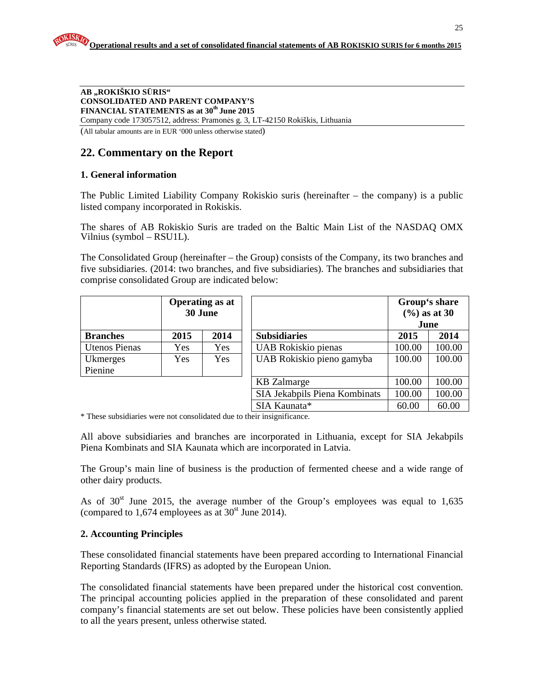#### **AB "ROKIŠKIO S**Ū**RIS" CONSOLIDATED AND PARENT COMPANY'S FINANCIAL STATEMENTS as at 30th June 2015**  Company code 173057512, address: Pramonės g. 3, LT-42150 Rokiškis, Lithuania

(All tabular amounts are in EUR '000 unless otherwise stated)

## **22. Commentary on the Report**

#### **1. General information**

The Public Limited Liability Company Rokiskio suris (hereinafter – the company) is a public listed company incorporated in Rokiskis.

The shares of AB Rokiskio Suris are traded on the Baltic Main List of the NASDAQ OMX Vilnius (symbol – RSU1L).

The Consolidated Group (hereinafter – the Group) consists of the Company, its two branches and five subsidiaries. (2014: two branches, and five subsidiaries). The branches and subsidiaries that comprise consolidated Group are indicated below:

|                      |            | <b>Operating as at</b><br>30 June |                               | Group's share<br>$(\frac{6}{6})$ as at 30<br>June |        |
|----------------------|------------|-----------------------------------|-------------------------------|---------------------------------------------------|--------|
| <b>Branches</b>      | 2015       | 2014                              | <b>Subsidiaries</b>           | 2015                                              | 2014   |
| <b>Utenos Pienas</b> | Yes        | Yes                               | UAB Rokiskio pienas           | 100.00                                            | 100.00 |
| Ukmerges             | <b>Yes</b> | <b>Yes</b>                        | UAB Rokiskio pieno gamyba     | 100.00                                            | 100.00 |
| Pienine              |            |                                   |                               |                                                   |        |
|                      |            |                                   | <b>KB</b> Zalmarge            | 100.00                                            | 100.00 |
|                      |            |                                   | SIA Jekabpils Piena Kombinats | 100.00                                            | 100.00 |
|                      |            |                                   | SIA Kaunata*                  | 60.00                                             | 60.00  |

\* These subsidiaries were not consolidated due to their insignificance.

All above subsidiaries and branches are incorporated in Lithuania, except for SIA Jekabpils Piena Kombinats and SIA Kaunata which are incorporated in Latvia.

The Group's main line of business is the production of fermented cheese and a wide range of other dairy products.

As of  $30<sup>st</sup>$  June 2015, the average number of the Group's employees was equal to 1,635 (compared to 1,674 employees as at  $30<sup>st</sup>$  June 2014).

#### **2. Accounting Principles**

These consolidated financial statements have been prepared according to International Financial Reporting Standards (IFRS) as adopted by the European Union.

The consolidated financial statements have been prepared under the historical cost convention. The principal accounting policies applied in the preparation of these consolidated and parent company's financial statements are set out below. These policies have been consistently applied to all the years present, unless otherwise stated.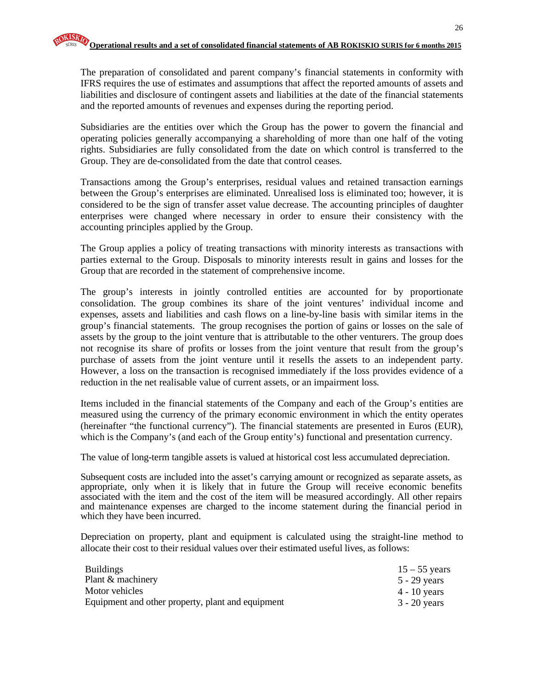The preparation of consolidated and parent company's financial statements in conformity with IFRS requires the use of estimates and assumptions that affect the reported amounts of assets and liabilities and disclosure of contingent assets and liabilities at the date of the financial statements and the reported amounts of revenues and expenses during the reporting period.

Subsidiaries are the entities over which the Group has the power to govern the financial and operating policies generally accompanying a shareholding of more than one half of the voting rights. Subsidiaries are fully consolidated from the date on which control is transferred to the Group. They are de-consolidated from the date that control ceases.

Transactions among the Group's enterprises, residual values and retained transaction earnings between the Group's enterprises are eliminated. Unrealised loss is eliminated too; however, it is considered to be the sign of transfer asset value decrease. The accounting principles of daughter enterprises were changed where necessary in order to ensure their consistency with the accounting principles applied by the Group.

The Group applies a policy of treating transactions with minority interests as transactions with parties external to the Group. Disposals to minority interests result in gains and losses for the Group that are recorded in the statement of comprehensive income.

The group's interests in jointly controlled entities are accounted for by proportionate consolidation. The group combines its share of the joint ventures' individual income and expenses, assets and liabilities and cash flows on a line-by-line basis with similar items in the group's financial statements. The group recognises the portion of gains or losses on the sale of assets by the group to the joint venture that is attributable to the other venturers. The group does not recognise its share of profits or losses from the joint venture that result from the group's purchase of assets from the joint venture until it resells the assets to an independent party. However, a loss on the transaction is recognised immediately if the loss provides evidence of a reduction in the net realisable value of current assets, or an impairment loss.

Items included in the financial statements of the Company and each of the Group's entities are measured using the currency of the primary economic environment in which the entity operates (hereinafter "the functional currency"). The financial statements are presented in Euros (EUR), which is the Company's (and each of the Group entity's) functional and presentation currency.

The value of long-term tangible assets is valued at historical cost less accumulated depreciation.

Subsequent costs are included into the asset's carrying amount or recognized as separate assets, as appropriate, only when it is likely that in future the Group will receive economic benefits associated with the item and the cost of the item will be measured accordingly. All other repairs and maintenance expenses are charged to the income statement during the financial period in which they have been incurred.

Depreciation on property, plant and equipment is calculated using the straight-line method to allocate their cost to their residual values over their estimated useful lives, as follows:

| <b>Buildings</b>                                  | $15 - 55$ years |
|---------------------------------------------------|-----------------|
| Plant & machinery                                 | 5 - 29 years    |
| Motor vehicles                                    | 4 - 10 years    |
| Equipment and other property, plant and equipment | $3 - 20$ years  |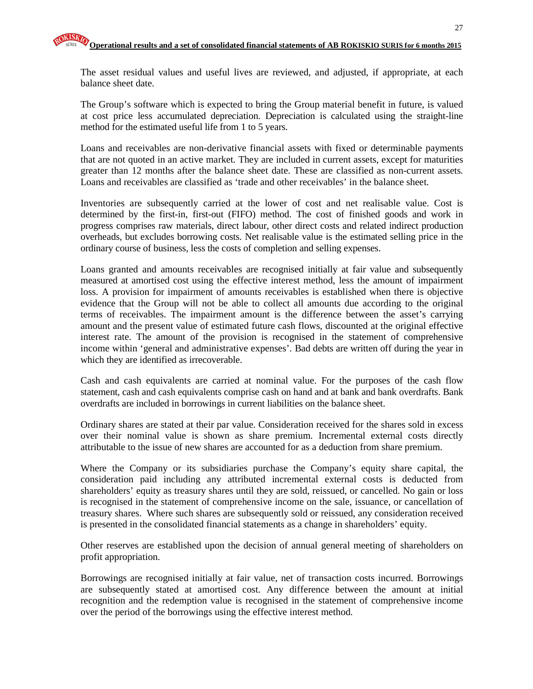The asset residual values and useful lives are reviewed, and adjusted, if appropriate, at each balance sheet date.

The Group's software which is expected to bring the Group material benefit in future, is valued at cost price less accumulated depreciation. Depreciation is calculated using the straight-line method for the estimated useful life from 1 to 5 years.

Loans and receivables are non-derivative financial assets with fixed or determinable payments that are not quoted in an active market. They are included in current assets, except for maturities greater than 12 months after the balance sheet date. These are classified as non-current assets. Loans and receivables are classified as 'trade and other receivables' in the balance sheet.

Inventories are subsequently carried at the lower of cost and net realisable value. Cost is determined by the first-in, first-out (FIFO) method. The cost of finished goods and work in progress comprises raw materials, direct labour, other direct costs and related indirect production overheads, but excludes borrowing costs. Net realisable value is the estimated selling price in the ordinary course of business, less the costs of completion and selling expenses.

Loans granted and amounts receivables are recognised initially at fair value and subsequently measured at amortised cost using the effective interest method, less the amount of impairment loss. A provision for impairment of amounts receivables is established when there is objective evidence that the Group will not be able to collect all amounts due according to the original terms of receivables. The impairment amount is the difference between the asset's carrying amount and the present value of estimated future cash flows, discounted at the original effective interest rate. The amount of the provision is recognised in the statement of comprehensive income within 'general and administrative expenses'. Bad debts are written off during the year in which they are identified as irrecoverable.

Cash and cash equivalents are carried at nominal value. For the purposes of the cash flow statement, cash and cash equivalents comprise cash on hand and at bank and bank overdrafts. Bank overdrafts are included in borrowings in current liabilities on the balance sheet.

Ordinary shares are stated at their par value. Consideration received for the shares sold in excess over their nominal value is shown as share premium. Incremental external costs directly attributable to the issue of new shares are accounted for as a deduction from share premium.

Where the Company or its subsidiaries purchase the Company's equity share capital, the consideration paid including any attributed incremental external costs is deducted from shareholders' equity as treasury shares until they are sold, reissued, or cancelled. No gain or loss is recognised in the statement of comprehensive income on the sale, issuance, or cancellation of treasury shares. Where such shares are subsequently sold or reissued, any consideration received is presented in the consolidated financial statements as a change in shareholders' equity.

Other reserves are established upon the decision of annual general meeting of shareholders on profit appropriation.

Borrowings are recognised initially at fair value, net of transaction costs incurred. Borrowings are subsequently stated at amortised cost. Any difference between the amount at initial recognition and the redemption value is recognised in the statement of comprehensive income over the period of the borrowings using the effective interest method.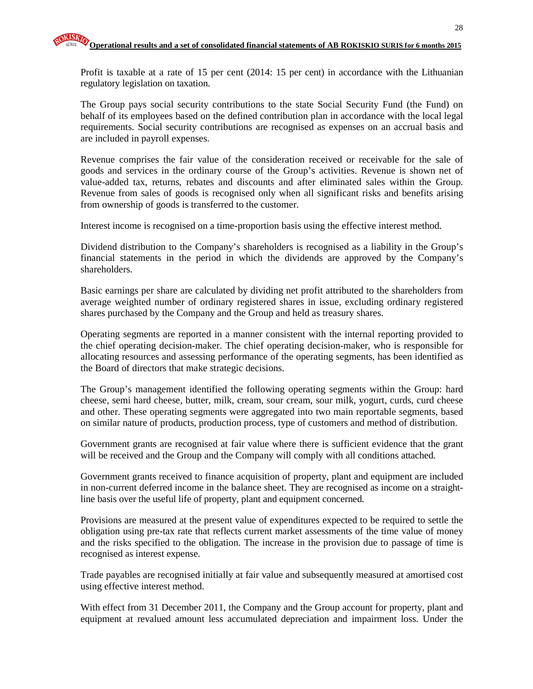Profit is taxable at a rate of 15 per cent (2014: 15 per cent) in accordance with the Lithuanian regulatory legislation on taxation.

The Group pays social security contributions to the state Social Security Fund (the Fund) on behalf of its employees based on the defined contribution plan in accordance with the local legal requirements. Social security contributions are recognised as expenses on an accrual basis and are included in payroll expenses.

Revenue comprises the fair value of the consideration received or receivable for the sale of goods and services in the ordinary course of the Group's activities. Revenue is shown net of value-added tax, returns, rebates and discounts and after eliminated sales within the Group. Revenue from sales of goods is recognised only when all significant risks and benefits arising from ownership of goods is transferred to the customer.

Interest income is recognised on a time-proportion basis using the effective interest method.

Dividend distribution to the Company's shareholders is recognised as a liability in the Group's financial statements in the period in which the dividends are approved by the Company's shareholders.

Basic earnings per share are calculated by dividing net profit attributed to the shareholders from average weighted number of ordinary registered shares in issue, excluding ordinary registered shares purchased by the Company and the Group and held as treasury shares.

Operating segments are reported in a manner consistent with the internal reporting provided to the chief operating decision-maker. The chief operating decision-maker, who is responsible for allocating resources and assessing performance of the operating segments, has been identified as the Board of directors that make strategic decisions.

The Group's management identified the following operating segments within the Group: hard cheese, semi hard cheese, butter, milk, cream, sour cream, sour milk, yogurt, curds, curd cheese and other. These operating segments were aggregated into two main reportable segments, based on similar nature of products, production process, type of customers and method of distribution.

Government grants are recognised at fair value where there is sufficient evidence that the grant will be received and the Group and the Company will comply with all conditions attached.

Government grants received to finance acquisition of property, plant and equipment are included in non-current deferred income in the balance sheet. They are recognised as income on a straightline basis over the useful life of property, plant and equipment concerned.

Provisions are measured at the present value of expenditures expected to be required to settle the obligation using pre-tax rate that reflects current market assessments of the time value of money and the risks specified to the obligation. The increase in the provision due to passage of time is recognised as interest expense.

Trade payables are recognised initially at fair value and subsequently measured at amortised cost using effective interest method.

With effect from 31 December 2011, the Company and the Group account for property, plant and equipment at revalued amount less accumulated depreciation and impairment loss. Under the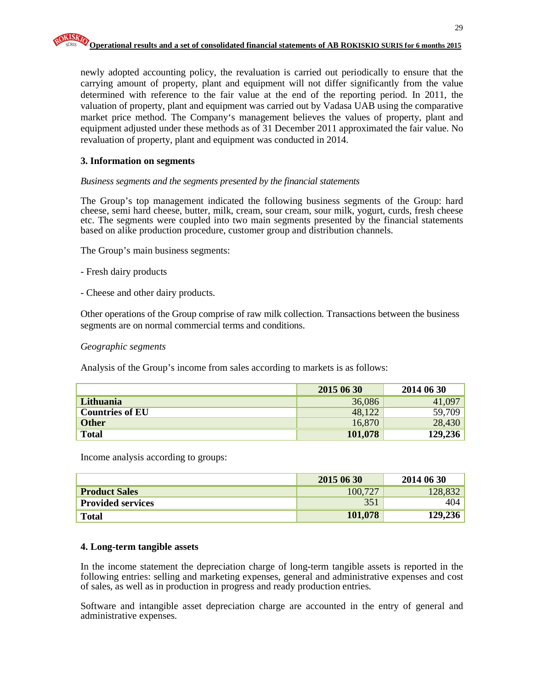newly adopted accounting policy, the revaluation is carried out periodically to ensure that the carrying amount of property, plant and equipment will not differ significantly from the value determined with reference to the fair value at the end of the reporting period. In 2011, the valuation of property, plant and equipment was carried out by Vadasa UAB using the comparative market price method. The Company's management believes the values of property, plant and equipment adjusted under these methods as of 31 December 2011 approximated the fair value. No revaluation of property, plant and equipment was conducted in 2014.

#### **3. Information on segments**

#### *Business segments and the segments presented by the financial statements*

The Group's top management indicated the following business segments of the Group: hard cheese, semi hard cheese, butter, milk, cream, sour cream, sour milk, yogurt, curds, fresh cheese etc. The segments were coupled into two main segments presented by the financial statements based on alike production procedure, customer group and distribution channels.

The Group's main business segments:

- Fresh dairy products
- Cheese and other dairy products.

Other operations of the Group comprise of raw milk collection. Transactions between the business segments are on normal commercial terms and conditions.

#### *Geographic segments*

Analysis of the Group's income from sales according to markets is as follows:

|                        | 2015 06 30 | 2014 06 30 |
|------------------------|------------|------------|
| Lithuania              | 36,086     | 41,097     |
| <b>Countries of EU</b> | 48,122     | 59,709     |
| <b>Other</b>           | 16,870     | 28,430     |
| <b>Total</b>           | 101,078    | 129,236    |

Income analysis according to groups:

|                          | 2015 06 30 | 2014 06 30 |
|--------------------------|------------|------------|
| <b>Product Sales</b>     | 100,727    | 128.8      |
| <b>Provided services</b> | 351        | 404        |
| <b>Total</b>             | 101,078    | 129,236    |

#### **4. Long-term tangible assets**

In the income statement the depreciation charge of long-term tangible assets is reported in the following entries: selling and marketing expenses, general and administrative expenses and cost of sales, as well as in production in progress and ready production entries.

Software and intangible asset depreciation charge are accounted in the entry of general and administrative expenses.